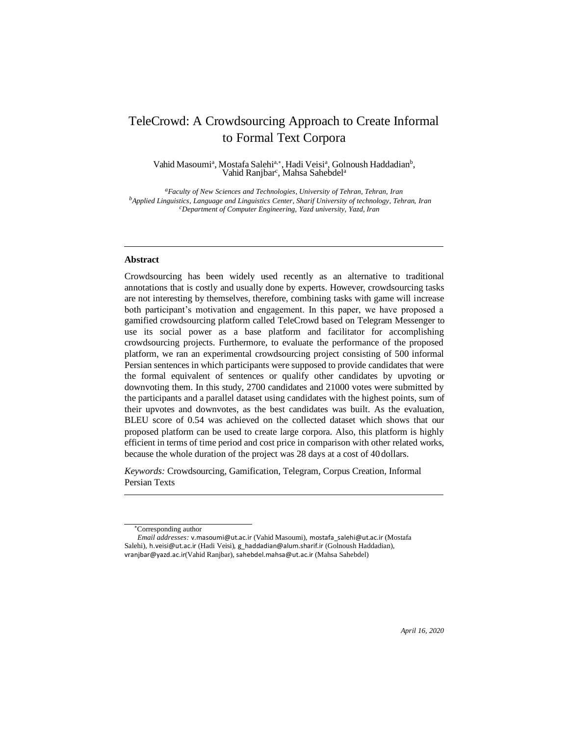# TeleCrowd: A Crowdsourcing Approach to Create Informal to Formal Text Corpora

Vahid Masoumi<sup>a</sup>, Mostafa Salehi<sup>a,∗</sup>, Hadi Veisi<sup>a</sup>, Golnoush Haddadian<sup>b</sup>, Vahid Ranjbar<sup>c</sup>, Mahsa Sahebdel<sup>a</sup>

*<sup>a</sup>Faculty of New Sciences and Technologies, University of Tehran, Tehran, Iran <sup>b</sup>Applied Linguistics, Language and Linguistics Center, Sharif University of technology, Tehran, Iran <sup>c</sup>Department of Computer Engineering, Yazd university, Yazd, Iran*

# **Abstract**

Crowdsourcing has been widely used recently as an alternative to traditional annotations that is costly and usually done by experts. However, crowdsourcing tasks are not interesting by themselves, therefore, combining tasks with game will increase both participant's motivation and engagement. In this paper, we have proposed a gamified crowdsourcing platform called TeleCrowd based on Telegram Messenger to use its social power as a base platform and facilitator for accomplishing crowdsourcing projects. Furthermore, to evaluate the performance of the proposed platform, we ran an experimental crowdsourcing project consisting of 500 informal Persian sentences in which participants were supposed to provide candidates that were the formal equivalent of sentences or qualify other candidates by upvoting or downvoting them. In this study, 2700 candidates and 21000 votes were submitted by the participants and a parallel dataset using candidates with the highest points, sum of their upvotes and downvotes, as the best candidates was built. As the evaluation, BLEU score of 0.54 was achieved on the collected dataset which shows that our proposed platform can be used to create large corpora. Also, this platform is highly efficient in terms of time period and cost price in comparison with other related works, because the whole duration of the project was 28 days at a cost of 40 dollars.

*Keywords:* Crowdsourcing, Gamification, Telegram, Corpus Creation, Informal Persian Texts

<sup>∗</sup>Corresponding author

*Email addresses:* [v.masoumi@ut.ac.ir](mailto:v.masoumi@ut.ac.ir) (Vahid Masoumi), [mostafa\\_sal](mailto:mostafa_salehi@ut.ac.ir)[ehi@ut.ac.ir](mailto:ehi@ut.ac.ir) (Mostafa Salehi), [h.veisi@ut.ac.ir](mailto:h.veisi@ut.ac.ir) (Hadi Veisi), [g\\_haddadian@alum.sharif.ir](mailto:g_haddadian@alum.sharif.ir) (Golnoush Haddadian), [vranjbar@yazd.ac.ir](mailto:vranjbar@yazd.ac.ir)(Vahid Ranjbar), [sahebdel.mah](mailto:sahebdel.mahsa@ut.ac.ir)[sa@ut.ac.ir](mailto:sa@ut.ac.ir) (Mahsa Sahebdel)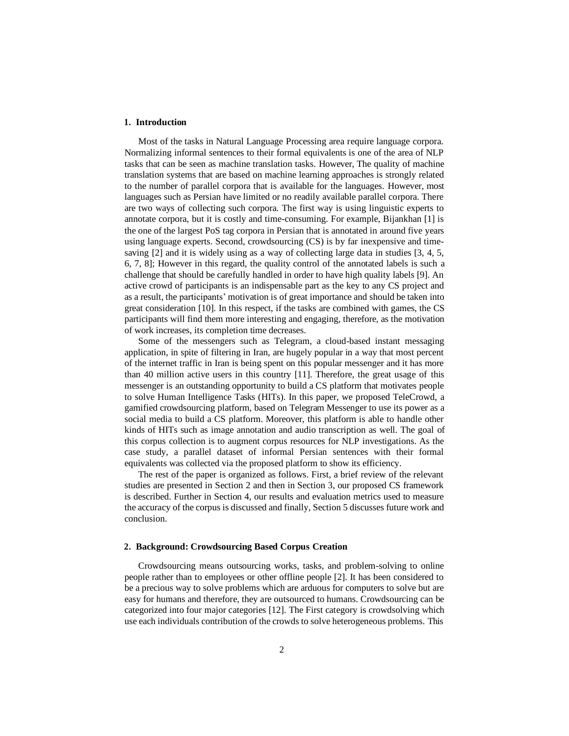## **1. Introduction**

Most of the tasks in Natural Language Processing area require language corpora. Normalizing informal sentences to their formal equivalents is one of the area of NLP tasks that can be seen as machine translation tasks. However, The quality of machine translation systems that are based on machine learning approaches is strongly related to the number of parallel corpora that is available for the languages. However, most languages such as Persian have limited or no readily available parallel corpora. There are two ways of collecting such corpora. The first way is using linguistic experts to annotate corpora, but it is costly and time-consuming. For example, Bijankhan [1] is the one of the largest PoS tag corpora in Persian that is annotated in around five years using language experts. Second, crowdsourcing (CS) is by far inexpensive and timesaving [2] and it is widely using as a way of collecting large data in studies [3, 4, 5, 6, 7, 8]; However in this regard, the quality control of the annotated labels is such a challenge that should be carefully handled in order to have high quality labels [9]. An active crowd of participants is an indispensable part as the key to any CS project and as a result, the participants' motivation is of great importance and should be taken into great consideration [10]. In this respect, if the tasks are combined with games, the CS participants will find them more interesting and engaging, therefore, as the motivation of work increases, its completion time decreases.

Some of the messengers such as Telegram, a cloud-based instant messaging application, in spite of filtering in Iran, are hugely popular in a way that most percent of the internet traffic in Iran is being spent on this popular messenger and it has more than 40 million active users in this country [11]. Therefore, the great usage of this messenger is an outstanding opportunity to build a CS platform that motivates people to solve Human Intelligence Tasks (HITs). In this paper, we proposed TeleCrowd, a gamified crowdsourcing platform, based on Telegram Messenger to use its power as a social media to build a CS platform. Moreover, this platform is able to handle other kinds of HITs such as image annotation and audio transcription as well. The goal of this corpus collection is to augment corpus resources for NLP investigations. As the case study, a parallel dataset of informal Persian sentences with their formal equivalents was collected via the proposed platform to show its efficiency.

The rest of the paper is organized as follows. First, a brief review of the relevant studies are presented in Section 2 and then in Section 3, our proposed CS framework is described. Further in Section 4, our results and evaluation metrics used to measure the accuracy of the corpus is discussed and finally, Section 5 discusses future work and conclusion.

# **2. Background: Crowdsourcing Based Corpus Creation**

Crowdsourcing means outsourcing works, tasks, and problem-solving to online people rather than to employees or other offline people [2]. It has been considered to be a precious way to solve problems which are arduous for computers to solve but are easy for humans and therefore, they are outsourced to humans. Crowdsourcing can be categorized into four major categories [12]. The First category is crowdsolving which use each individuals contribution of the crowds to solve heterogeneous problems. This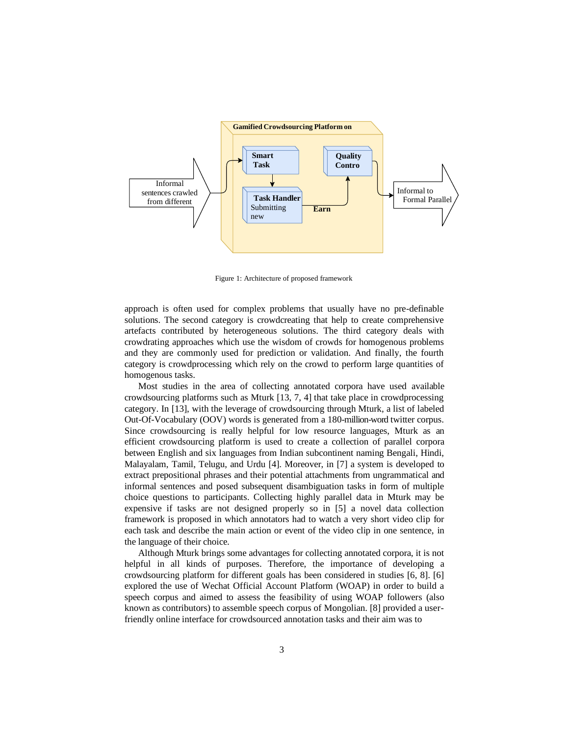

Figure 1: Architecture of proposed framework

approach is often used for complex problems that usually have no pre-definable solutions. The second category is crowdcreating that help to create comprehensive artefacts contributed by heterogeneous solutions. The third category deals with crowdrating approaches which use the wisdom of crowds for homogenous problems and they are commonly used for prediction or validation. And finally, the fourth category is crowdprocessing which rely on the crowd to perform large quantities of homogenous tasks.

Most studies in the area of collecting annotated corpora have used available crowdsourcing platforms such as Mturk [13, 7, 4] that take place in crowdprocessing category. In [13], with the leverage of crowdsourcing through Mturk, a list of labeled Out-Of-Vocabulary (OOV) words is generated from a 180-million-word twitter corpus. Since crowdsourcing is really helpful for low resource languages, Mturk as an efficient crowdsourcing platform is used to create a collection of parallel corpora between English and six languages from Indian subcontinent naming Bengali, Hindi, Malayalam, Tamil, Telugu, and Urdu [4]. Moreover, in [7] a system is developed to extract prepositional phrases and their potential attachments from ungrammatical and informal sentences and posed subsequent disambiguation tasks in form of multiple choice questions to participants. Collecting highly parallel data in Mturk may be expensive if tasks are not designed properly so in [5] a novel data collection framework is proposed in which annotators had to watch a very short video clip for each task and describe the main action or event of the video clip in one sentence, in the language of their choice.

Although Mturk brings some advantages for collecting annotated corpora, it is not helpful in all kinds of purposes. Therefore, the importance of developing a crowdsourcing platform for different goals has been considered in studies [6, 8]. [6] explored the use of Wechat Official Account Platform (WOAP) in order to build a speech corpus and aimed to assess the feasibility of using WOAP followers (also known as contributors) to assemble speech corpus of Mongolian. [8] provided a userfriendly online interface for crowdsourced annotation tasks and their aim was to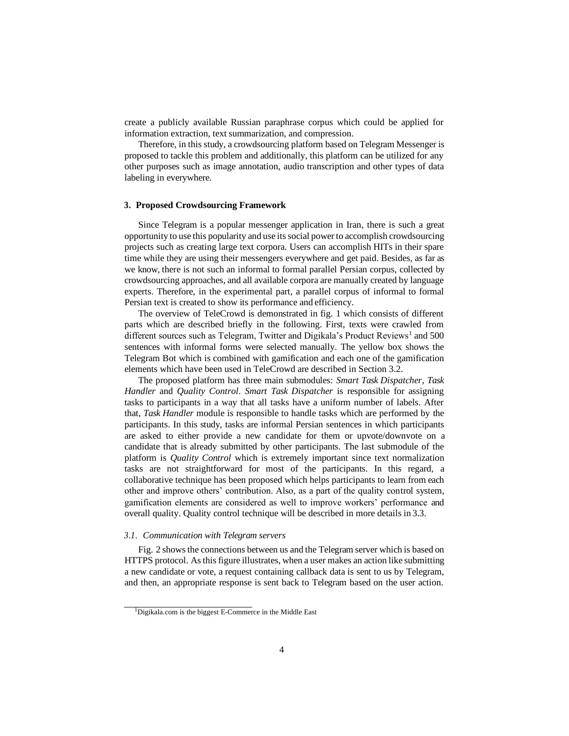create a publicly available Russian paraphrase corpus which could be applied for information extraction, text summarization, and compression.

Therefore, in this study, a crowdsourcing platform based on Telegram Messenger is proposed to tackle this problem and additionally, this platform can be utilized for any other purposes such as image annotation, audio transcription and other types of data labeling in everywhere.

### **3. Proposed Crowdsourcing Framework**

Since Telegram is a popular messenger application in Iran, there is such a great opportunity to use this popularity and use itssocial power to accomplish crowdsourcing projects such as creating large text corpora. Users can accomplish HITs in their spare time while they are using their messengers everywhere and get paid. Besides, as far as we know, there is not such an informal to formal parallel Persian corpus, collected by crowdsourcing approaches, and all available corpora are manually created by language experts. Therefore, in the experimental part, a parallel corpus of informal to formal Persian text is created to show its performance and efficiency.

The overview of TeleCrowd is demonstrated in fig. 1 which consists of different parts which are described briefly in the following. First, texts were crawled from different sources such as Telegram, Twitter and Digikala's Product Reviews<sup>1</sup> and 500 sentences with informal forms were selected manually. The yellow box shows the Telegram Bot which is combined with gamification and each one of the gamification elements which have been used in TeleCrowd are described in Section 3.2.

The proposed platform has three main submodules: *Smart Task Dispatcher*, *Task Handler* and *Quality Control*. *Smart Task Dispatcher* is responsible for assigning tasks to participants in a way that all tasks have a uniform number of labels. After that, *Task Handler* module is responsible to handle tasks which are performed by the participants. In this study, tasks are informal Persian sentences in which participants are asked to either provide a new candidate for them or upvote/downvote on a candidate that is already submitted by other participants. The last submodule of the platform is *Quality Control* which is extremely important since text normalization tasks are not straightforward for most of the participants. In this regard, a collaborative technique has been proposed which helps participants to learn from each other and improve others' contribution. Also, as a part of the quality control system, gamification elements are considered as well to improve workers' performance and overall quality. Quality control technique will be described in more details in 3.3.

# *3.1. Communication with Telegram servers*

Fig. 2 showsthe connections between us and the Telegram server which is based on HTTPS protocol. Asthisfigure illustrates, when a user makes an action like submitting a new candidate or vote, a request containing callback data is sent to us by Telegram, and then, an appropriate response is sent back to Telegram based on the user action.

<sup>1</sup>Digikala.com is the biggest E-Commerce in the Middle East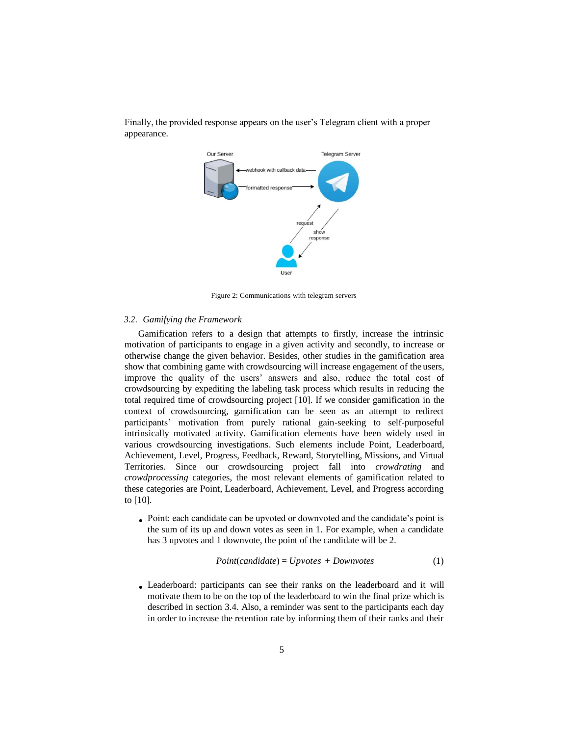

Finally, the provided response appears on the user's Telegram client with a proper appearance.

Figure 2: Communications with telegram servers

#### *3.2. Gamifying the Framework*

Gamification refers to a design that attempts to firstly, increase the intrinsic motivation of participants to engage in a given activity and secondly, to increase or otherwise change the given behavior. Besides, other studies in the gamification area show that combining game with crowdsourcing will increase engagement of the users, improve the quality of the users' answers and also, reduce the total cost of crowdsourcing by expediting the labeling task process which results in reducing the total required time of crowdsourcing project [10]. If we consider gamification in the context of crowdsourcing, gamification can be seen as an attempt to redirect participants' motivation from purely rational gain-seeking to self-purposeful intrinsically motivated activity. Gamification elements have been widely used in various crowdsourcing investigations. Such elements include Point, Leaderboard, Achievement, Level, Progress, Feedback, Reward, Storytelling, Missions, and Virtual Territories. Since our crowdsourcing project fall into *crowdrating* and *crowdprocessing* categories, the most relevant elements of gamification related to these categories are Point, Leaderboard, Achievement, Level, and Progress according to [10].

Point: each candidate can be upvoted or downvoted and the candidate's point is • the sum of its up and down votes as seen in 1. For example, when a candidate has 3 upvotes and 1 downvote, the point of the candidate will be 2.

$$
Point(candidate) = Upvotes + Downvotes
$$
\n(1)

Leaderboard: participants can see their ranks on the leaderboard and it will •motivate them to be on the top of the leaderboard to win the final prize which is described in section 3.4. Also, a reminder was sent to the participants each day in order to increase the retention rate by informing them of their ranks and their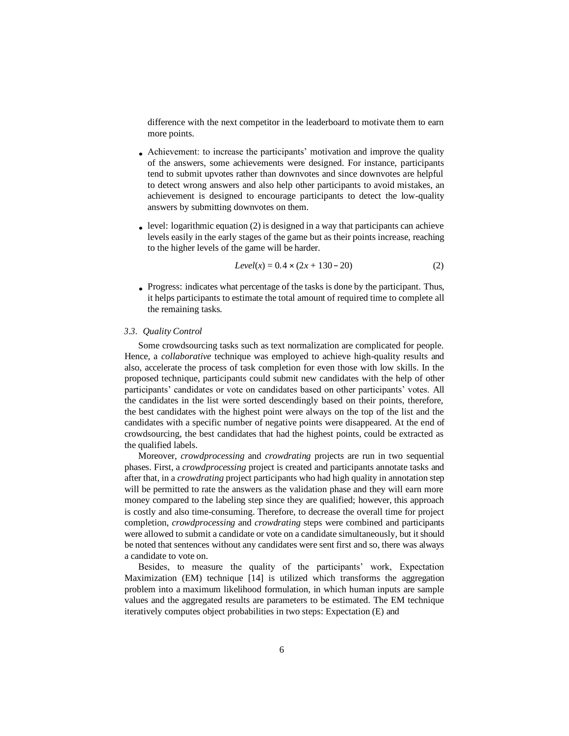difference with the next competitor in the leaderboard to motivate them to earn more points.

- Achievement: to increase the participants' motivation and improve the quality of the answers, some achievements were designed. For instance, participants tend to submit upvotes rather than downvotes and since downvotes are helpful to detect wrong answers and also help other participants to avoid mistakes, an achievement is designed to encourage participants to detect the low-quality answers by submitting downvotes on them.
- $\bullet$  level: logarithmic equation (2) is designed in a way that participants can achieve levels easily in the early stages of the game but as their points increase, reaching to the higher levels of the game will be harder.

$$
Level(x) = 0.4 \times (2x + 130 - 20)
$$
 (2)

Progress: indicates what percentage of the tasks is done by the participant. Thus, •it helps participants to estimate the total amount of required time to complete all the remaining tasks.

# *3.3. Quality Control*

Some crowdsourcing tasks such as text normalization are complicated for people. Hence, a *collaborative* technique was employed to achieve high-quality results and also, accelerate the process of task completion for even those with low skills. In the proposed technique, participants could submit new candidates with the help of other participants' candidates or vote on candidates based on other participants' votes. All the candidates in the list were sorted descendingly based on their points, therefore, the best candidates with the highest point were always on the top of the list and the candidates with a specific number of negative points were disappeared. At the end of crowdsourcing, the best candidates that had the highest points, could be extracted as the qualified labels.

Moreover, *crowdprocessing* and *crowdrating* projects are run in two sequential phases. First, a *crowdprocessing* project is created and participants annotate tasks and after that, in a *crowdrating* project participants who had high quality in annotation step will be permitted to rate the answers as the validation phase and they will earn more money compared to the labeling step since they are qualified; however, this approach is costly and also time-consuming. Therefore, to decrease the overall time for project completion, *crowdprocessing* and *crowdrating* steps were combined and participants were allowed to submit a candidate or vote on a candidate simultaneously, but it should be noted that sentences without any candidates were sent first and so, there was always a candidate to vote on.

Besides, to measure the quality of the participants' work, Expectation Maximization (EM) technique [14] is utilized which transforms the aggregation problem into a maximum likelihood formulation, in which human inputs are sample values and the aggregated results are parameters to be estimated. The EM technique iteratively computes object probabilities in two steps: Expectation (E) and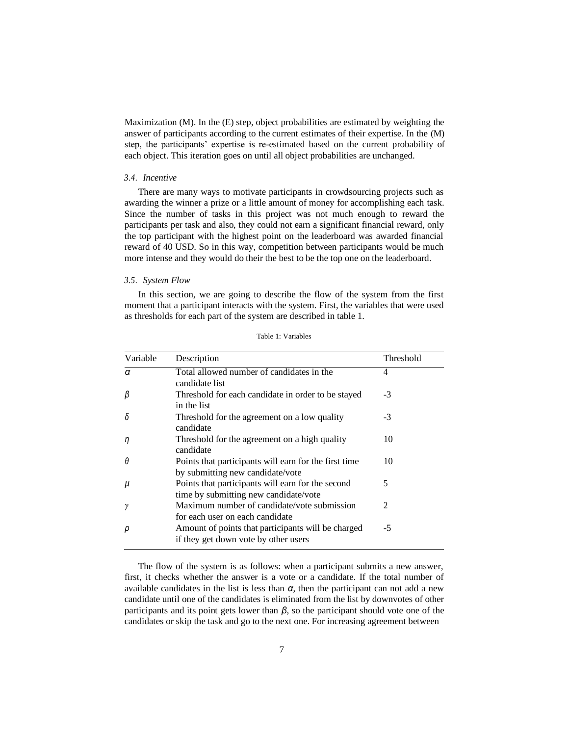Maximization (M). In the (E) step, object probabilities are estimated by weighting the answer of participants according to the current estimates of their expertise. In the (M) step, the participants' expertise is re-estimated based on the current probability of each object. This iteration goes on until all object probabilities are unchanged.

# *3.4. Incentive*

There are many ways to motivate participants in crowdsourcing projects such as awarding the winner a prize or a little amount of money for accomplishing each task. Since the number of tasks in this project was not much enough to reward the participants per task and also, they could not earn a significant financial reward, only the top participant with the highest point on the leaderboard was awarded financial reward of 40 USD. So in this way, competition between participants would be much more intense and they would do their the best to be the top one on the leaderboard.

# *3.5. System Flow*

In this section, we are going to describe the flow of the system from the first moment that a participant interacts with the system. First, the variables that were used as thresholds for each part of the system are described in table 1.

| Variable | Description                                                                                | Threshold      |
|----------|--------------------------------------------------------------------------------------------|----------------|
| α        | Total allowed number of candidates in the<br>candidate list                                | 4              |
| β        | Threshold for each candidate in order to be stayed<br>in the list                          | $-3$           |
| δ        | Threshold for the agreement on a low quality<br>candidate                                  | $-3$           |
| η        | Threshold for the agreement on a high quality<br>candidate                                 | 10             |
| θ        | Points that participants will earn for the first time<br>by submitting new candidate/vote  | 10             |
| μ        | Points that participants will earn for the second<br>time by submitting new candidate/vote | 5              |
| ν        | Maximum number of candidate/vote submission<br>for each user on each candidate             | $\overline{2}$ |
| ρ        | Amount of points that participants will be charged<br>if they get down vote by other users | $-5$           |

Table 1: Variables

The flow of the system is as follows: when a participant submits a new answer, first, it checks whether the answer is a vote or a candidate. If the total number of available candidates in the list is less than  $\alpha$ , then the participant can not add a new candidate until one of the candidates is eliminated from the list by downvotes of other participants and its point gets lower than *β*, so the participant should vote one of the candidates or skip the task and go to the next one. For increasing agreement between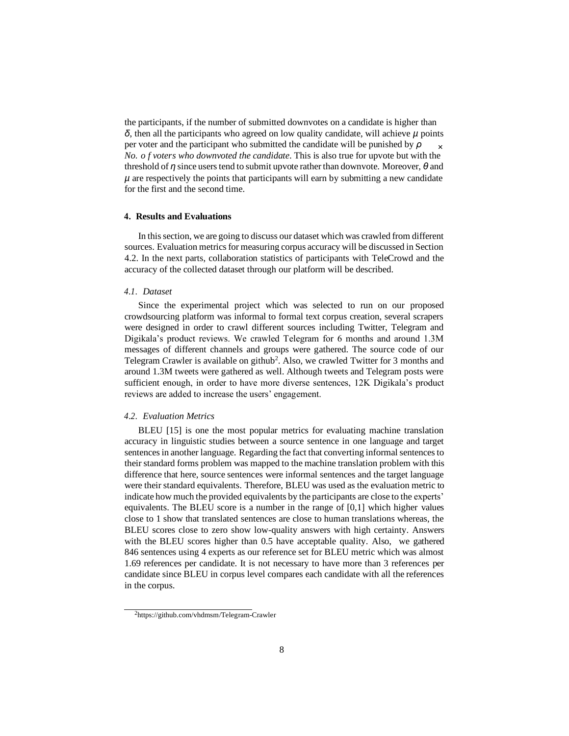× the participants, if the number of submitted downvotes on a candidate is higher than *δ*, then all the participants who agreed on low quality candidate, will achieve *µ* points per voter and the participant who submitted the candidate will be punished by *ρ No. o f voters who downvoted the candidate*. This is also true for upvote but with the threshold of *η* since userstend to submit upvote rather than downvote. Moreover, *θ* and  $\mu$  are respectively the points that participants will earn by submitting a new candidate for the first and the second time.

# **4. Results and Evaluations**

In thissection, we are going to discuss our dataset which was crawled from different sources. Evaluation metrics for measuring corpus accuracy will be discussed in Section 4.2. In the next parts, collaboration statistics of participants with TeleCrowd and the accuracy of the collected dataset through our platform will be described.

# *4.1. Dataset*

Since the experimental project which was selected to run on our proposed crowdsourcing platform was informal to formal text corpus creation, several scrapers were designed in order to crawl different sources including Twitter, Telegram and Digikala's product reviews. We crawled Telegram for 6 months and around 1.3M messages of different channels and groups were gathered. The source code of our Telegram Crawler is available on github<sup>2</sup>. Also, we crawled Twitter for 3 months and around 1.3M tweets were gathered as well. Although tweets and Telegram posts were sufficient enough, in order to have more diverse sentences, 12K Digikala's product reviews are added to increase the users' engagement.

#### *4.2. Evaluation Metrics*

BLEU [15] is one the most popular metrics for evaluating machine translation accuracy in linguistic studies between a source sentence in one language and target sentences in another language. Regarding the fact that converting informal sentences to their standard forms problem was mapped to the machine translation problem with this difference that here, source sentences were informal sentences and the target language were their standard equivalents. Therefore, BLEU was used as the evaluation metric to indicate how much the provided equivalents by the participants are close to the experts' equivalents. The BLEU score is a number in the range of [0,1] which higher values close to 1 show that translated sentences are close to human translations whereas, the BLEU scores close to zero show low-quality answers with high certainty. Answers with the BLEU scores higher than 0.5 have acceptable quality. Also, we gathered 846 sentences using 4 experts as our reference set for BLEU metric which was almost 1.69 references per candidate. It is not necessary to have more than 3 references per candidate since BLEU in corpus level compares each candidate with all the references in the corpus.

<sup>2</sup>https://github.com/vhdmsm/Telegram-Crawler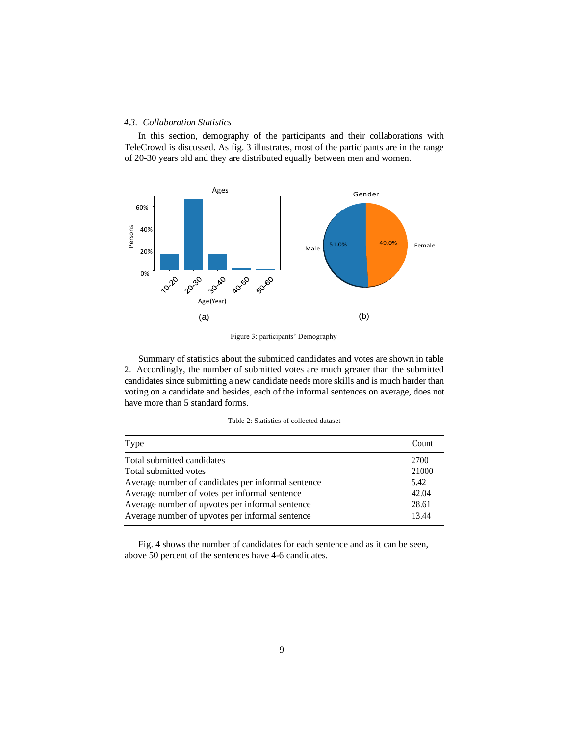# *4.3. Collaboration Statistics*

In this section, demography of the participants and their collaborations with TeleCrowd is discussed. As fig. 3 illustrates, most of the participants are in the range of 20-30 years old and they are distributed equally between men and women.



Figure 3: participants' Demography

Summary of statistics about the submitted candidates and votes are shown in table 2. Accordingly, the number of submitted votes are much greater than the submitted candidates since submitting a new candidate needs more skills and is much harder than voting on a candidate and besides, each of the informal sentences on average, does not have more than 5 standard forms.

| Table 2: Statistics of collected dataset |
|------------------------------------------|
|------------------------------------------|

| Type                                               | Count |
|----------------------------------------------------|-------|
| Total submitted candidates                         | 2700  |
| Total submitted votes                              | 21000 |
| Average number of candidates per informal sentence | 5.42  |
| Average number of votes per informal sentence      | 42.04 |
| Average number of upvotes per informal sentence    | 28.61 |
| Average number of upvotes per informal sentence    | 13.44 |

Fig. 4 shows the number of candidates for each sentence and as it can be seen, above 50 percent of the sentences have 4-6 candidates.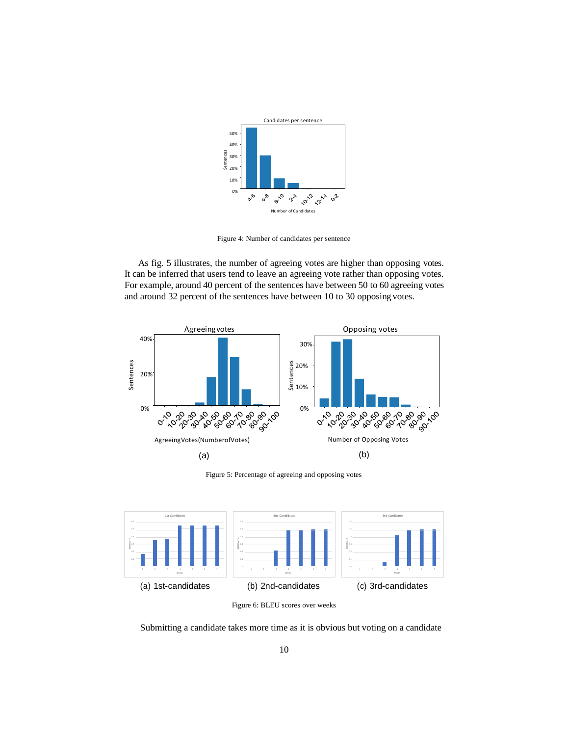

Figure 4: Number of candidates per sentence

As fig. 5 illustrates, the number of agreeing votes are higher than opposing votes. It can be inferred that users tend to leave an agreeing vote rather than opposing votes. For example, around 40 percent of the sentences have between 50 to 60 agreeing votes and around 32 percent of the sentences have between 10 to 30 opposing votes.



Figure 5: Percentage of agreeing and opposing votes



Figure 6: BLEU scores over weeks

Submitting a candidate takes more time as it is obvious but voting on a candidate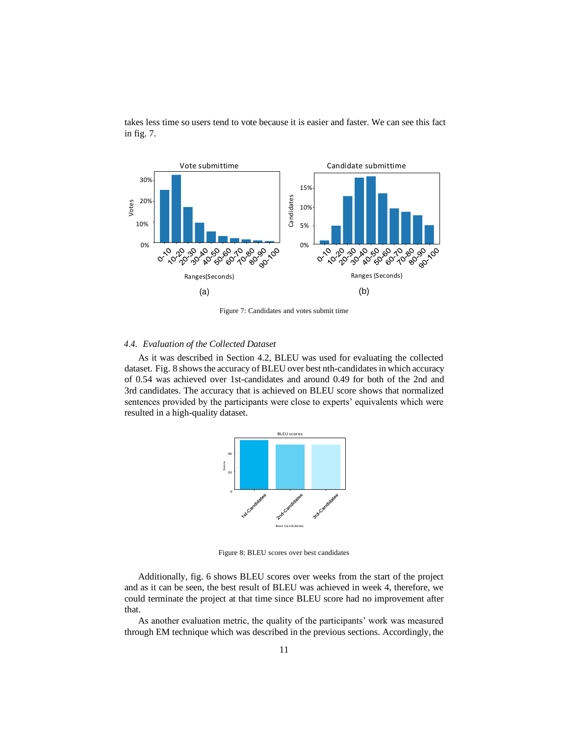

takes less time so users tend to vote because it is easier and faster. We can see this fact in fig. 7.

Figure 7: Candidates and votes submit time

### *4.4. Evaluation of the Collected Dataset*

As it was described in Section 4.2, BLEU was used for evaluating the collected dataset. Fig. 8 shows the accuracy of BLEU over best nth-candidates in which accuracy of 0.54 was achieved over 1st-candidates and around 0.49 for both of the 2nd and 3rd candidates. The accuracy that is achieved on BLEU score shows that normalized sentences provided by the participants were close to experts' equivalents which were resulted in a high-quality dataset.



Figure 8: BLEU scores over best candidates

Additionally, fig. 6 shows BLEU scores over weeks from the start of the project and as it can be seen, the best result of BLEU was achieved in week 4, therefore, we could terminate the project at that time since BLEU score had no improvement after that.

As another evaluation metric, the quality of the participants' work was measured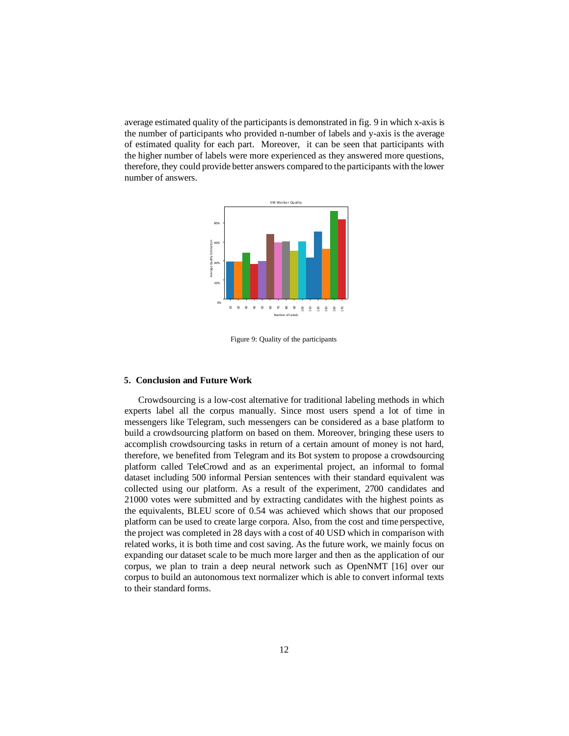average estimated quality of the participants is demonstrated in fig. 9 in which x-axis is the number of participants who provided n-number of labels and y-axis is the average of estimated quality for each part. Moreover, it can be seen that participants with the higher number of labels were more experienced as they answered more questions, therefore, they could provide better answers compared to the participants with the lower number of answers.



Figure 9: Quality of the participants

#### **5. Conclusion and Future Work**

Crowdsourcing is a low-cost alternative for traditional labeling methods in which experts label all the corpus manually. Since most users spend a lot of time in messengers like Telegram, such messengers can be considered as a base platform to build a crowdsourcing platform on based on them. Moreover, bringing these users to accomplish crowdsourcing tasks in return of a certain amount of money is not hard, therefore, we benefited from Telegram and its Bot system to propose a crowdsourcing platform called TeleCrowd and as an experimental project, an informal to formal dataset including 500 informal Persian sentences with their standard equivalent was collected using our platform. As a result of the experiment, 2700 candidates and 21000 votes were submitted and by extracting candidates with the highest points as the equivalents, BLEU score of 0.54 was achieved which shows that our proposed platform can be used to create large corpora. Also, from the cost and time perspective, the project was completed in 28 days with a cost of 40 USD which in comparison with related works, it is both time and cost saving. As the future work, we mainly focus on expanding our dataset scale to be much more larger and then as the application of our corpus, we plan to train a deep neural network such as OpenNMT [16] over our corpus to build an autonomous text normalizer which is able to convert informal texts 5. Conclusion and Fut<br>Crowdsourcing is a<br>experts label all the c<br>messengers like Telegra<br>build a crowdsourcing p<br>accomplish crowdsourcing p<br>accomplish crowdsourci<br>therefore, we benefited platform called TeleCre<br>dataset inc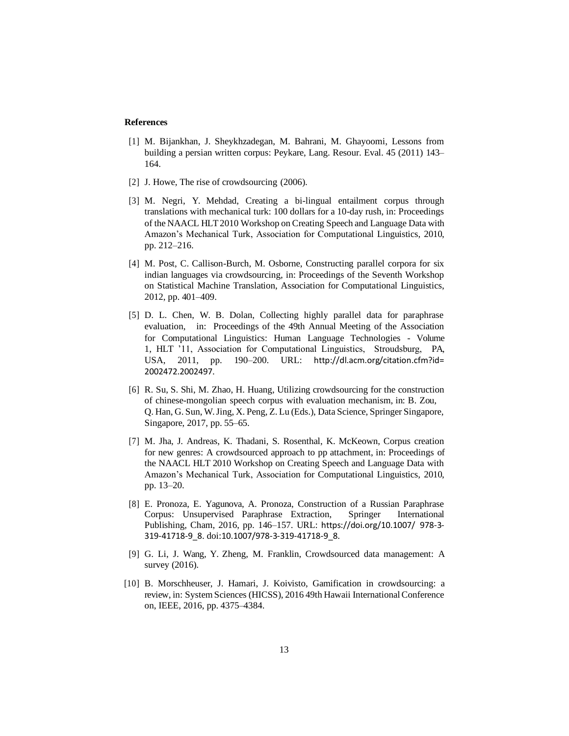# **References**

- [1] M. Bijankhan, J. Sheykhzadegan, M. Bahrani, M. Ghayoomi, Lessons from building a persian written corpus: Peykare, Lang. Resour. Eval. 45 (2011) 143– 164.
- [2] J. Howe, The rise of crowdsourcing  $(2006)$ .
- [3] M. Negri, Y. Mehdad, Creating a bi-lingual entailment corpus through translations with mechanical turk: 100 dollars for a 10-day rush, in: Proceedings of the NAACL HLT2010 Workshop on Creating Speech and Language Data with Amazon's Mechanical Turk, Association for Computational Linguistics, 2010, pp. 212–216.
- [4] M. Post, C. Callison-Burch, M. Osborne, Constructing parallel corpora for six indian languages via crowdsourcing, in: Proceedings of the Seventh Workshop on Statistical Machine Translation, Association for Computational Linguistics, 2012, pp. 401–409.
- [5] D. L. Chen, W. B. Dolan, Collecting highly parallel data for paraphrase evaluation, in: Proceedings of the 49th Annual Meeting of the Association for Computational Linguistics: Human Language Technologies - Volume 1, HLT '11, Association for Computational Linguistics, Stroudsburg, PA, USA, 2011, pp. 190–200. URL: [http://dl.acm.org/citation.cfm?id=](http://dl.acm.org/citation.cfm?id) 2002472.2002497.
- [6] R. Su, S. Shi, M. Zhao, H. Huang, Utilizing crowdsourcing for the construction of chinese-mongolian speech corpus with evaluation mechanism, in: B. Zou, Q. Han, G. Sun, W.Jing, X. Peng, Z. Lu (Eds.), Data Science, Springer Singapore, Singapore, 2017, pp. 55–65.
- [7] M. Jha, J. Andreas, K. Thadani, S. Rosenthal, K. McKeown, Corpus creation for new genres: A crowdsourced approach to pp attachment, in: Proceedings of the NAACL HLT 2010 Workshop on Creating Speech and Language Data with Amazon's Mechanical Turk, Association for Computational Linguistics, 2010, pp. 13–20.
- [8] E. Pronoza, E. Yagunova, A. Pronoza, Construction of a Russian Paraphrase Corpus: Unsupervised Paraphrase Extraction, Springer International Publishing, Cham, 2016, pp. 146–157. URL: https://doi.org/10.1007/ 978-3- 319-41718-9\_8. doi:10.1007/978-3-319-41718-9\_8.
- [9] G. Li, J. Wang, Y. Zheng, M. Franklin, Crowdsourced data management: A survey (2016).
- [10] B. Morschheuser, J. Hamari, J. Koivisto, Gamification in crowdsourcing: a review, in: System Sciences (HICSS), 2016 49th Hawaii InternationalConference on, IEEE, 2016, pp. 4375–4384.